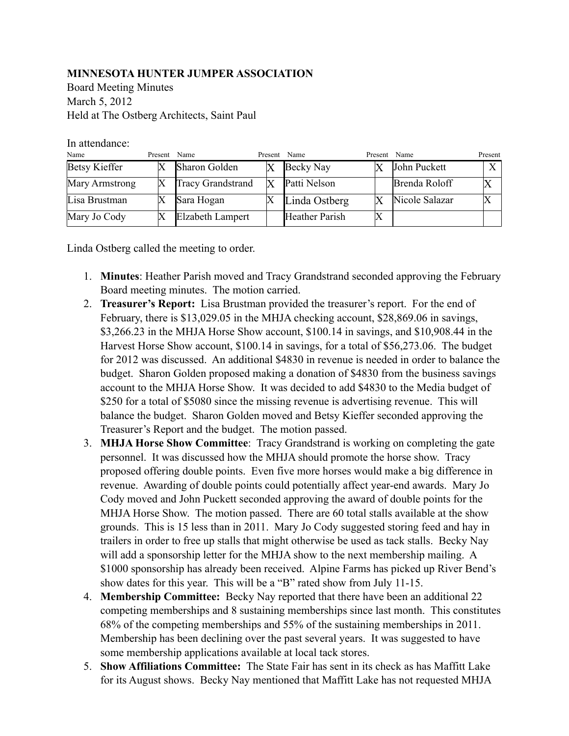## **MINNESOTA HUNTER JUMPER ASSOCIATION**

Board Meeting Minutes March 5, 2012 Held at The Ostberg Architects, Saint Paul

In attendance:

| Name                 | Present | Name                     | Present Name |                       | Present Name |                | Present      |
|----------------------|---------|--------------------------|--------------|-----------------------|--------------|----------------|--------------|
| <b>Betsy Kieffer</b> |         | Sharon Golden            |              | Becky Nay             |              | John Puckett   | $\mathbf{v}$ |
| Mary Armstrong       |         | <b>Tracy Grandstrand</b> |              | Patti Nelson          |              | Brenda Roloff  |              |
| Lisa Brustman        |         | Sara Hogan               |              | Linda Ostberg         |              | Nicole Salazar |              |
| Mary Jo Cody         |         | <b>Elzabeth Lampert</b>  |              | <b>Heather Parish</b> |              |                |              |

Linda Ostberg called the meeting to order.

- 1. **Minutes**: Heather Parish moved and Tracy Grandstrand seconded approving the February Board meeting minutes. The motion carried.
- 2. **Treasurer's Report:** Lisa Brustman provided the treasurer's report. For the end of February, there is \$13,029.05 in the MHJA checking account, \$28,869.06 in savings, \$3,266.23 in the MHJA Horse Show account, \$100.14 in savings, and \$10,908.44 in the Harvest Horse Show account, \$100.14 in savings, for a total of \$56,273.06. The budget for 2012 was discussed. An additional \$4830 in revenue is needed in order to balance the budget. Sharon Golden proposed making a donation of \$4830 from the business savings account to the MHJA Horse Show. It was decided to add \$4830 to the Media budget of \$250 for a total of \$5080 since the missing revenue is advertising revenue. This will balance the budget. Sharon Golden moved and Betsy Kieffer seconded approving the Treasurer's Report and the budget. The motion passed.
- 3. **MHJA Horse Show Committee**: Tracy Grandstrand is working on completing the gate personnel. It was discussed how the MHJA should promote the horse show. Tracy proposed offering double points. Even five more horses would make a big difference in revenue. Awarding of double points could potentially affect year-end awards. Mary Jo Cody moved and John Puckett seconded approving the award of double points for the MHJA Horse Show. The motion passed. There are 60 total stalls available at the show grounds. This is 15 less than in 2011. Mary Jo Cody suggested storing feed and hay in trailers in order to free up stalls that might otherwise be used as tack stalls. Becky Nay will add a sponsorship letter for the MHJA show to the next membership mailing. A \$1000 sponsorship has already been received. Alpine Farms has picked up River Bend's show dates for this year. This will be a "B" rated show from July 11-15.
- 4. **Membership Committee:** Becky Nay reported that there have been an additional 22 competing memberships and 8 sustaining memberships since last month. This constitutes 68% of the competing memberships and 55% of the sustaining memberships in 2011. Membership has been declining over the past several years. It was suggested to have some membership applications available at local tack stores.
- 5. **Show Affiliations Committee:** The State Fair has sent in its check as has Maffitt Lake for its August shows. Becky Nay mentioned that Maffitt Lake has not requested MHJA